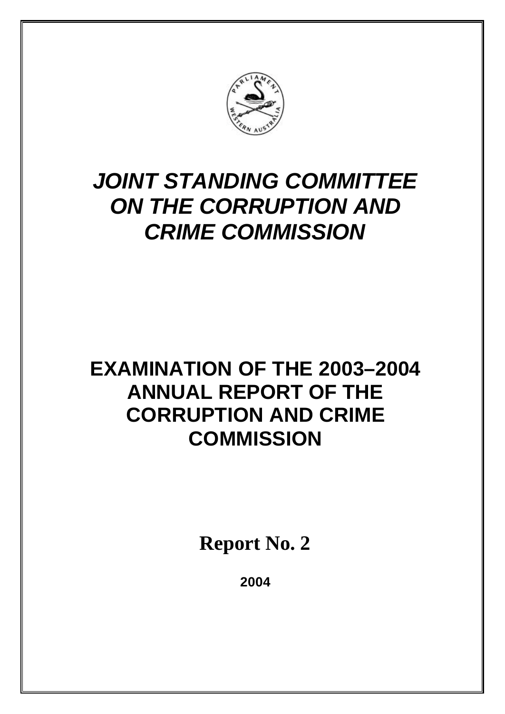

# *JOINT STANDING COMMITTEE ON THE CORRUPTION AND CRIME COMMISSION*

# **EXAMINATION OF THE 2003–2004 ANNUAL REPORT OF THE CORRUPTION AND CRIME COMMISSION**

**Report No. 2**

**2004**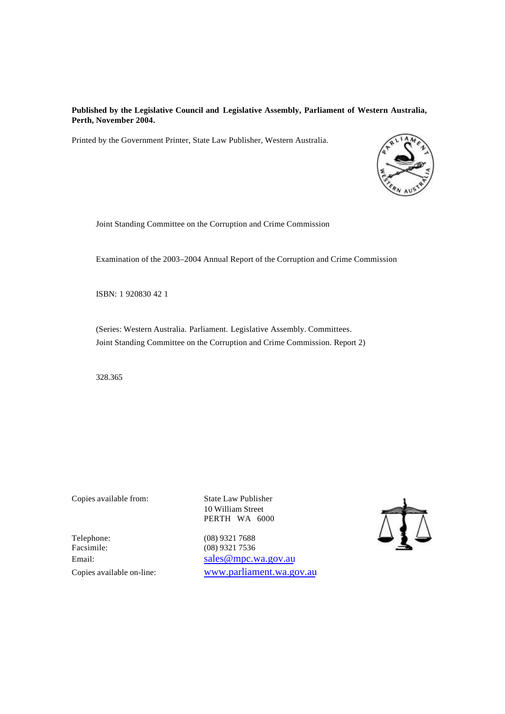#### **Published by the Legislative Council and Legislative Assembly, Parliament of Western Australia, Perth, November 2004.**

Printed by the Government Printer, State Law Publisher, Western Australia.



Joint Standing Committee on the Corruption and Crime Commission

Examination of the 2003–2004 Annual Report of the Corruption and Crime Commission

ISBN: 1 920830 42 1

(Series: Western Australia. Parliament. Legislative Assembly. Committees. Joint Standing Committee on the Corruption and Crime Commission. Report 2)

328.365

Copies available from: State Law Publisher

10 William Street PERTH WA 6000

Facsimile: (08) 9321 7536

Telephone: (08) 9321 7688 Email: sales @mpc.wa.gov.au Copies available on-line: www.parliament.wa.gov.au

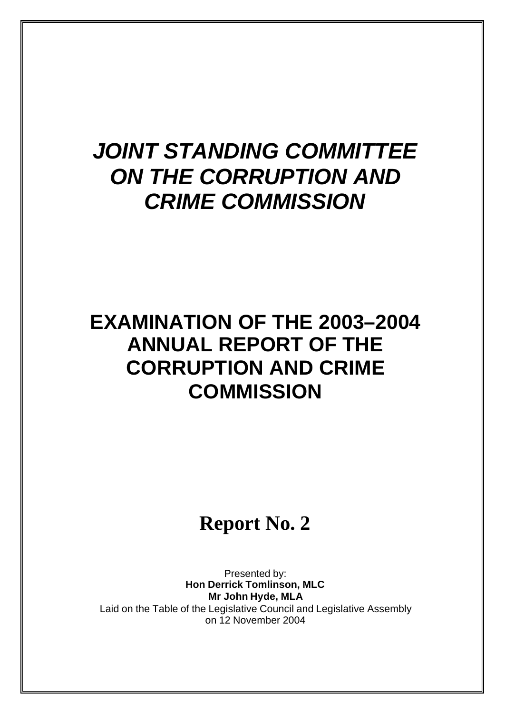# *JOINT STANDING COMMITTEE ON THE CORRUPTION AND CRIME COMMISSION*

# **EXAMINATION OF THE 2003–2004 ANNUAL REPORT OF THE CORRUPTION AND CRIME COMMISSION**

## **Report No. 2**

Presented by: **Hon Derrick Tomlinson, MLC Mr John Hyde, MLA** Laid on the Table of the Legislative Council and Legislative Assembly on 12 November 2004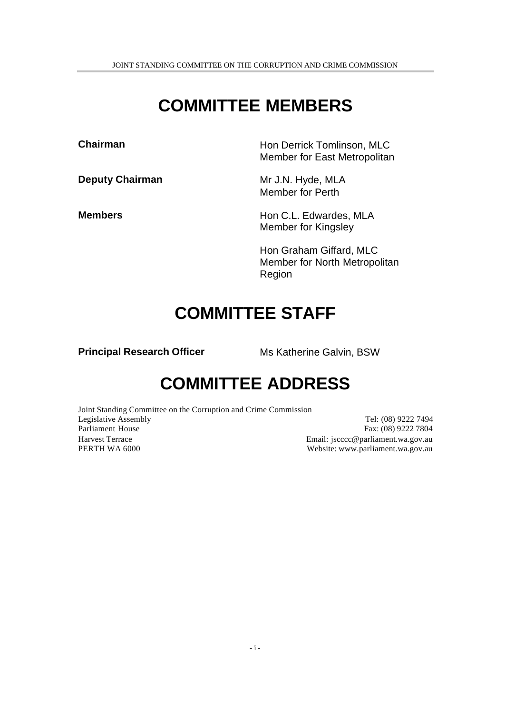## **COMMITTEE MEMBERS**

**Chairman Hon Derrick Tomlinson, MLC** 

**Deputy Chairman** Mr J.N. Hyde, MLA

Member for Perth

**Members** Hon C.L. Edwardes, MLA Member for Kingsley

Member for East Metropolitan

Hon Graham Giffard, MLC Member for North Metropolitan Region

### **COMMITTEE STAFF**

**Principal Research Officer** Ms Katherine Galvin, BSW

## **COMMITTEE ADDRESS**

Joint Standing Committee on the Corruption and Crime Commission Legislative Assembly Tel: (08) 9222 7494 Parliament House Fax: (08) 9222 7804 Harvest Terrace Email: jscccc@parliament.wa.gov.au PERTH WA 6000 Website: www.parliament.wa.gov.au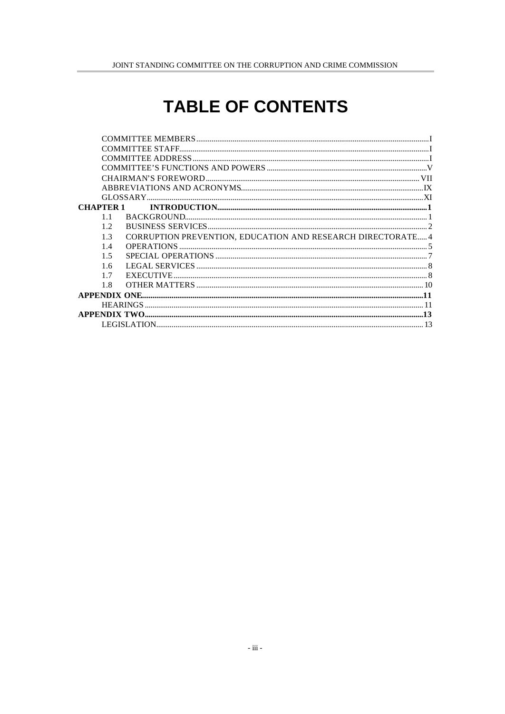## **TABLE OF CONTENTS**

| <b>CHAPTER 1</b> |                |                                                             |  |
|------------------|----------------|-------------------------------------------------------------|--|
|                  | 11             |                                                             |  |
|                  | 12             |                                                             |  |
|                  | 1 <sup>3</sup> | CORRUPTION PREVENTION, EDUCATION AND RESEARCH DIRECTORATE 4 |  |
|                  | 14             |                                                             |  |
|                  | 15             |                                                             |  |
|                  | 1.6            |                                                             |  |
|                  | 17             |                                                             |  |
|                  | 1.8            |                                                             |  |
|                  |                |                                                             |  |
|                  |                |                                                             |  |
|                  |                |                                                             |  |
|                  |                |                                                             |  |
|                  |                |                                                             |  |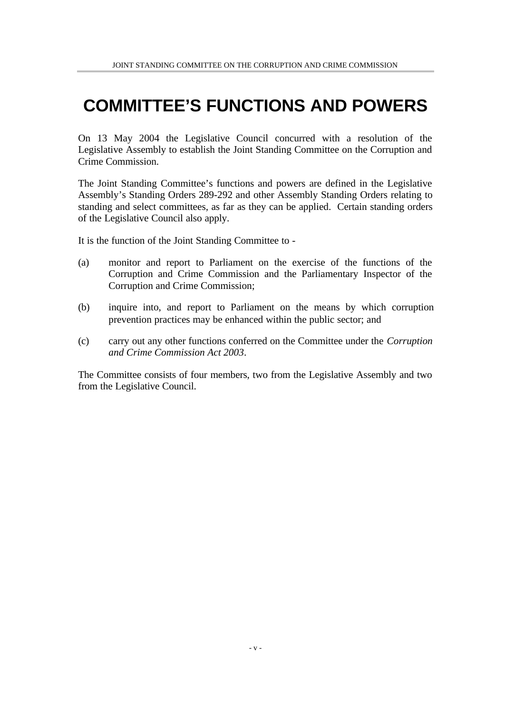## **COMMITTEE'S FUNCTIONS AND POWERS**

On 13 May 2004 the Legislative Council concurred with a resolution of the Legislative Assembly to establish the Joint Standing Committee on the Corruption and Crime Commission.

The Joint Standing Committee's functions and powers are defined in the Legislative Assembly's Standing Orders 289-292 and other Assembly Standing Orders relating to standing and select committees, as far as they can be applied. Certain standing orders of the Legislative Council also apply.

It is the function of the Joint Standing Committee to -

- (a) monitor and report to Parliament on the exercise of the functions of the Corruption and Crime Commission and the Parliamentary Inspector of the Corruption and Crime Commission;
- (b) inquire into, and report to Parliament on the means by which corruption prevention practices may be enhanced within the public sector; and
- (c) carry out any other functions conferred on the Committee under the *Corruption and Crime Commission Act 2003*.

The Committee consists of four members, two from the Legislative Assembly and two from the Legislative Council.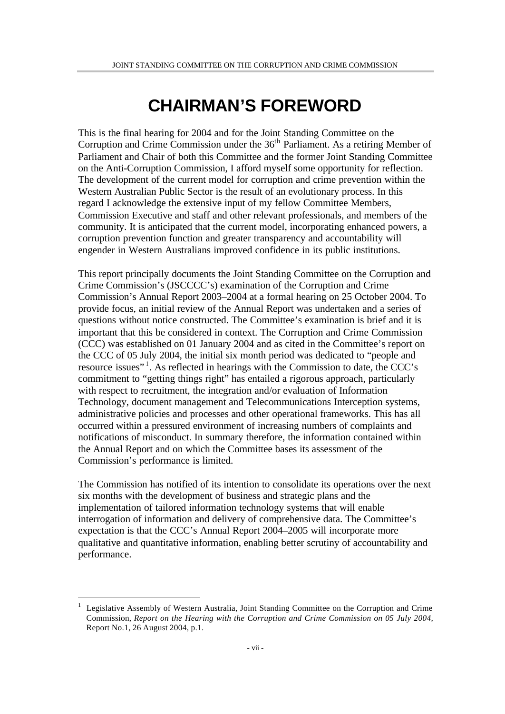## **CHAIRMAN'S FOREWORD**

This is the final hearing for 2004 and for the Joint Standing Committee on the Corruption and Crime Commission under the 36<sup>th</sup> Parliament. As a retiring Member of Parliament and Chair of both this Committee and the former Joint Standing Committee on the Anti-Corruption Commission, I afford myself some opportunity for reflection. The development of the current model for corruption and crime prevention within the Western Australian Public Sector is the result of an evolutionary process. In this regard I acknowledge the extensive input of my fellow Committee Members, Commission Executive and staff and other relevant professionals, and members of the community. It is anticipated that the current model, incorporating enhanced powers, a corruption prevention function and greater transparency and accountability will engender in Western Australians improved confidence in its public institutions.

This report principally documents the Joint Standing Committee on the Corruption and Crime Commission's (JSCCCC's) examination of the Corruption and Crime Commission's Annual Report 2003–2004 at a formal hearing on 25 October 2004. To provide focus, an initial review of the Annual Report was undertaken and a series of questions without notice constructed. The Committee's examination is brief and it is important that this be considered in context. The Corruption and Crime Commission (CCC) was established on 01 January 2004 and as cited in the Committee's report on the CCC of 05 July 2004, the initial six month period was dedicated to "people and resource issues"<sup>1</sup>. As reflected in hearings with the Commission to date, the CCC's commitment to "getting things right" has entailed a rigorous approach, particularly with respect to recruitment, the integration and/or evaluation of Information Technology, document management and Telecommunications Interception systems, administrative policies and processes and other operational frameworks. This has all occurred within a pressured environment of increasing numbers of complaints and notifications of misconduct. In summary therefore, the information contained within the Annual Report and on which the Committee bases its assessment of the Commission's performance is limited.

The Commission has notified of its intention to consolidate its operations over the next six months with the development of business and strategic plans and the implementation of tailored information technology systems that will enable interrogation of information and delivery of comprehensive data. The Committee's expectation is that the CCC's Annual Report 2004–2005 will incorporate more qualitative and quantitative information, enabling better scrutiny of accountability and performance.

<sup>1</sup> Legislative Assembly of Western Australia, Joint Standing Committee on the Corruption and Crime Commission, *Report on the Hearing with the Corruption and Crime Commission on 05 July 2004,* Report No.1, 26 August 2004, p.1.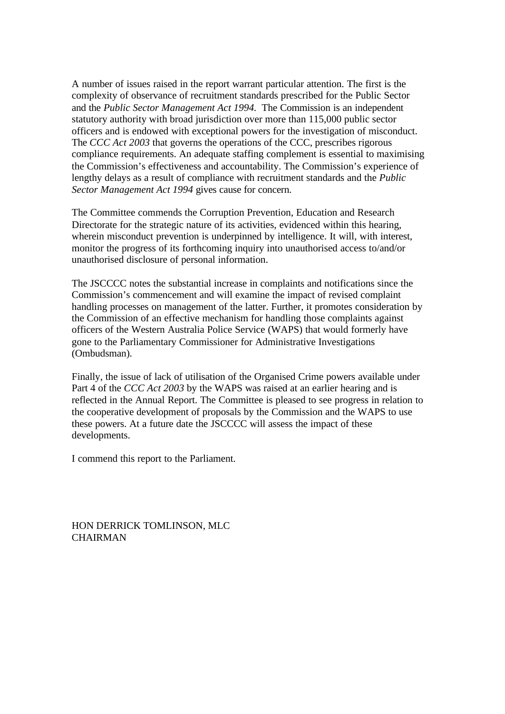A number of issues raised in the report warrant particular attention. The first is the complexity of observance of recruitment standards prescribed for the Public Sector and the *Public Sector Management Act 1994.* The Commission is an independent statutory authority with broad jurisdiction over more than 115,000 public sector officers and is endowed with exceptional powers for the investigation of misconduct. The *CCC Act 2003* that governs the operations of the CCC, prescribes rigorous compliance requirements. An adequate staffing complement is essential to maximising the Commission's effectiveness and accountability. The Commission's experience of lengthy delays as a result of compliance with recruitment standards and the *Public Sector Management Act 1994* gives cause for concern.

The Committee commends the Corruption Prevention, Education and Research Directorate for the strategic nature of its activities, evidenced within this hearing, wherein misconduct prevention is underpinned by intelligence. It will, with interest, monitor the progress of its forthcoming inquiry into unauthorised access to/and/or unauthorised disclosure of personal information.

The JSCCCC notes the substantial increase in complaints and notifications since the Commission's commencement and will examine the impact of revised complaint handling processes on management of the latter. Further, it promotes consideration by the Commission of an effective mechanism for handling those complaints against officers of the Western Australia Police Service (WAPS) that would formerly have gone to the Parliamentary Commissioner for Administrative Investigations (Ombudsman).

Finally, the issue of lack of utilisation of the Organised Crime powers available under Part 4 of the *CCC Act 2003* by the WAPS was raised at an earlier hearing and is reflected in the Annual Report. The Committee is pleased to see progress in relation to the cooperative development of proposals by the Commission and the WAPS to use these powers. At a future date the JSCCCC will assess the impact of these developments.

I commend this report to the Parliament.

HON DERRICK TOMLINSON, MLC **CHAIRMAN**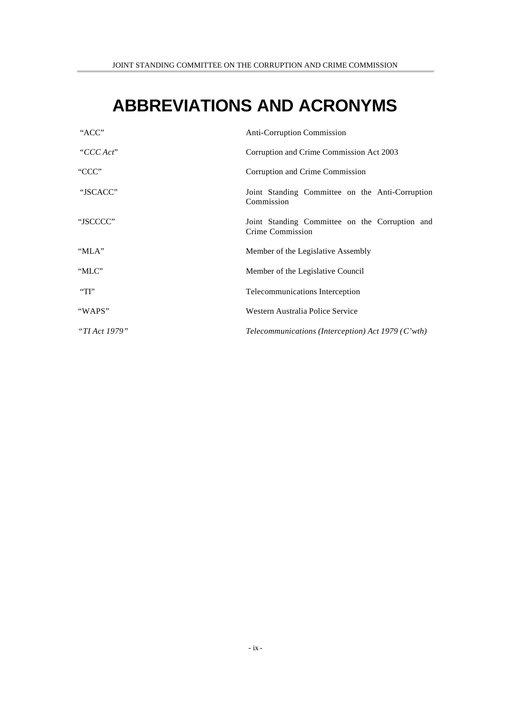## **ABBREVIATIONS AND ACRONYMS**

| "ACC"         | <b>Anti-Corruption Commission</b>                                  |
|---------------|--------------------------------------------------------------------|
| "CCC Act"     | Corruption and Crime Commission Act 2003                           |
| "CCC"         | Corruption and Crime Commission                                    |
| "JSCACC"      | Joint Standing Committee on the Anti-Corruption<br>Commission      |
| "JSCCCC"      | Joint Standing Committee on the Corruption and<br>Crime Commission |
| "MLA"         | Member of the Legislative Assembly                                 |
| "MLC"         | Member of the Legislative Council                                  |
| $\Gamma$      | Telecommunications Interception                                    |
| "WAPS"        | Western Australia Police Service                                   |
| "TI Act 1979" | Telecommunications (Interception) Act 1979 (C'wth)                 |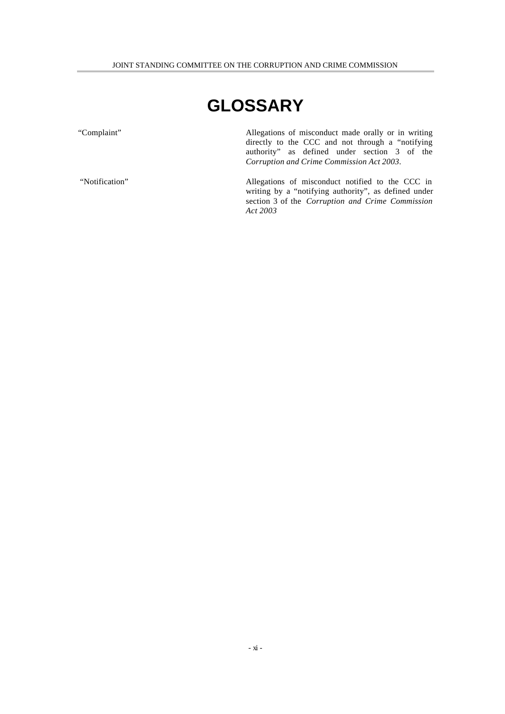## **GLOSSARY**

"Complaint" Allegations of misconduct made orally or in writing directly to the CCC and not through a "notifying authority" as defined under section 3 of the *Corruption and Crime Commission Act 2003.*

 "Notification" Allegations of misconduct notified to the CCC in writing by a "notifying authority", as defined under section 3 of the *Corruption and Crime Commission Act 2003*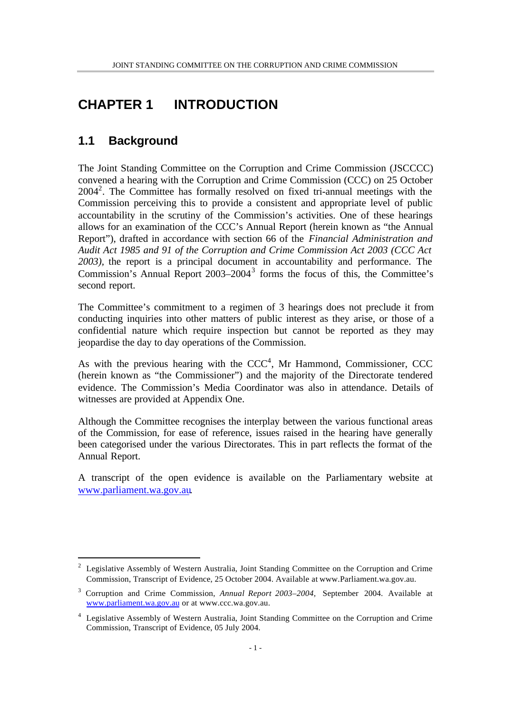### **CHAPTER 1 INTRODUCTION**

### **1.1 Background**

l

The Joint Standing Committee on the Corruption and Crime Commission (JSCCCC) convened a hearing with the Corruption and Crime Commission (CCC) on 25 October 2004<sup>2</sup>. The Committee has formally resolved on fixed tri-annual meetings with the Commission perceiving this to provide a consistent and appropriate level of public accountability in the scrutiny of the Commission's activities. One of these hearings allows for an examination of the CCC's Annual Report (herein known as "the Annual Report"), drafted in accordance with section 66 of the *Financial Administration and Audit Act 1985 and 91 of the Corruption and Crime Commission Act 2003 (CCC Act 2003),* the report is a principal document in accountability and performance. The Commission's Annual Report 2003–2004<sup>3</sup> forms the focus of this, the Committee's second report.

The Committee's commitment to a regimen of 3 hearings does not preclude it from conducting inquiries into other matters of public interest as they arise, or those of a confidential nature which require inspection but cannot be reported as they may jeopardise the day to day operations of the Commission.

As with the previous hearing with the  $CCC<sup>4</sup>$ , Mr Hammond, Commissioner, CCC (herein known as "the Commissioner") and the majority of the Directorate tendered evidence. The Commission's Media Coordinator was also in attendance. Details of witnesses are provided at Appendix One.

Although the Committee recognises the interplay between the various functional areas of the Commission, for ease of reference, issues raised in the hearing have generally been categorised under the various Directorates. This in part reflects the format of the Annual Report.

A transcript of the open evidence is available on the Parliamentary website at www.parliament.wa.gov.au.

<sup>&</sup>lt;sup>2</sup> Legislative Assembly of Western Australia, Joint Standing Committee on the Corruption and Crime Commission, Transcript of Evidence, 25 October 2004. Available at www.Parliament.wa.gov.au.

<sup>3</sup> Corruption and Crime Commission, *Annual Report 2003–2004,* September 2004. Available at www.parliament.wa.gov.au or at www.ccc.wa.gov.au.

<sup>4</sup> Legislative Assembly of Western Australia, Joint Standing Committee on the Corruption and Crime Commission, Transcript of Evidence, 05 July 2004.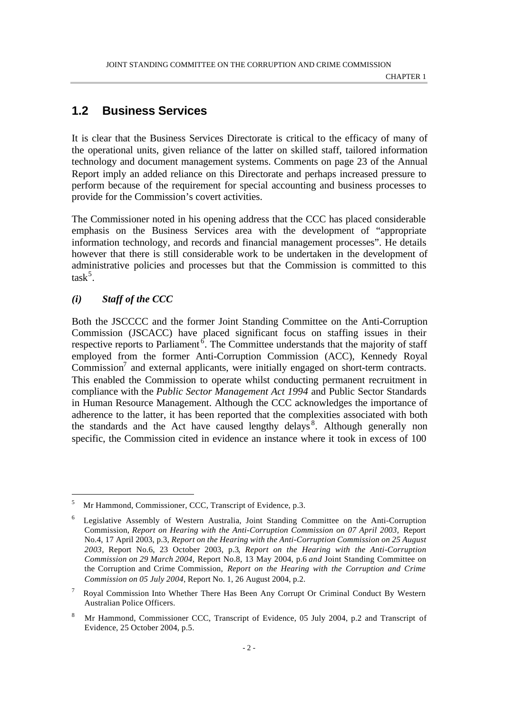### **1.2 Business Services**

It is clear that the Business Services Directorate is critical to the efficacy of many of the operational units, given reliance of the latter on skilled staff, tailored information technology and document management systems. Comments on page 23 of the Annual Report imply an added reliance on this Directorate and perhaps increased pressure to perform because of the requirement for special accounting and business processes to provide for the Commission's covert activities.

The Commissioner noted in his opening address that the CCC has placed considerable emphasis on the Business Services area with the development of "appropriate information technology, and records and financial management processes". He details however that there is still considerable work to be undertaken in the development of administrative policies and processes but that the Commission is committed to this  $task^5$ .

#### *(i) Staff of the CCC*

l

Both the JSCCCC and the former Joint Standing Committee on the Anti-Corruption Commission (JSCACC) have placed significant focus on staffing issues in their respective reports to Parliament<sup>6</sup>. The Committee understands that the majority of staff employed from the former Anti-Corruption Commission (ACC), Kennedy Royal Commission<sup>7</sup> and external applicants, were initially engaged on short-term contracts. This enabled the Commission to operate whilst conducting permanent recruitment in compliance with the *Public Sector Management Act 1994* and Public Sector Standards in Human Resource Management. Although the CCC acknowledges the importance of adherence to the latter, it has been reported that the complexities associated with both the standards and the Act have caused lengthy delays<sup>8</sup>. Although generally non specific, the Commission cited in evidence an instance where it took in excess of 100

<sup>5</sup> Mr Hammond, Commissioner, CCC, Transcript of Evidence, p.3.

<sup>6</sup> Legislative Assembly of Western Australia, Joint Standing Committee on the Anti-Corruption Commission, *Report on Hearing with the Anti-Corruption Commission on 07 April 2003,* Report No.4, 17 April 2003, p.3, *Report on the Hearing with the Anti-Corruption Commission on 25 August 2003,* Report No.6, 23 October 2003, p.3*, Report on the Hearing with the Anti-Corruption Commission on 29 March 2004,* Report No.8, 13 May 2004, p.6 *and* Joint Standing Committee on the Corruption and Crime Commission, *Report on the Hearing with the Corruption and Crime Commission on 05 July 2004*, Report No. 1, 26 August 2004, p.2.

<sup>7</sup> Royal Commission Into Whether There Has Been Any Corrupt Or Criminal Conduct By Western Australian Police Officers.

<sup>8</sup> Mr Hammond, Commissioner CCC, Transcript of Evidence, 05 July 2004, p.2 and Transcript of Evidence, 25 October 2004, p.5.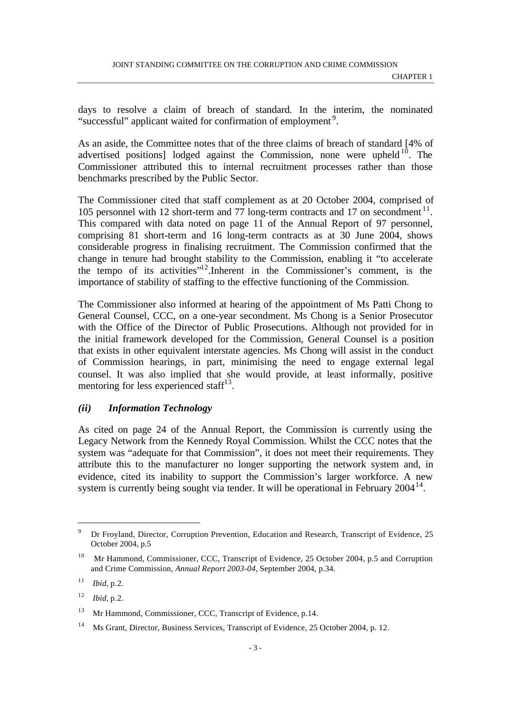days to resolve a claim of breach of standard*.* In the interim, the nominated "successful" applicant waited for confirmation of employment<sup>9</sup>.

As an aside, the Committee notes that of the three claims of breach of standard [4% of advertised positions] lodged against the Commission, none were upheld<sup>10</sup>. The Commissioner attributed this to internal recruitment processes rather than those benchmarks prescribed by the Public Sector.

The Commissioner cited that staff complement as at 20 October 2004, comprised of 105 personnel with 12 short-term and 77 long-term contracts and 17 on secondment<sup>11</sup>. This compared with data noted on page 11 of the Annual Report of 97 personnel, comprising 81 short-term and 16 long-term contracts as at 30 June 2004, shows considerable progress in finalising recruitment. The Commission confirmed that the change in tenure had brought stability to the Commission, enabling it "to accelerate the tempo of its activities"<sup>12</sup>.Inherent in the Commissioner's comment, is the importance of stability of staffing to the effective functioning of the Commission.

The Commissioner also informed at hearing of the appointment of Ms Patti Chong to General Counsel, CCC, on a one-year secondment. Ms Chong is a Senior Prosecutor with the Office of the Director of Public Prosecutions. Although not provided for in the initial framework developed for the Commission, General Counsel is a position that exists in other equivalent interstate agencies. Ms Chong will assist in the conduct of Commission hearings, in part, minimising the need to engage external legal counsel. It was also implied that she would provide, at least informally, positive mentoring for less experienced staff<sup>13</sup>.

### *(ii) Information Technology*

As cited on page 24 of the Annual Report, the Commission is currently using the Legacy Network from the Kennedy Royal Commission. Whilst the CCC notes that the system was "adequate for that Commission", it does not meet their requirements. They attribute this to the manufacturer no longer supporting the network system and, in evidence, cited its inability to support the Commission's larger workforce. A new system is currently being sought via tender. It will be operational in February  $2004^{14}$ .

<sup>9</sup> Dr Froyland, Director, Corruption Prevention, Education and Research, Transcript of Evidence, 25 October 2004, p.5

<sup>&</sup>lt;sup>10</sup> Mr Hammond, Commissioner, CCC, Transcript of Evidence, 25 October 2004, p.5 and Corruption and Crime Commission, *Annual Report 2003-04,* September 2004, p.34.

<sup>11</sup> *Ibid,* p.2.

<sup>12</sup> *Ibid,* p.2.

<sup>&</sup>lt;sup>13</sup> Mr Hammond, Commissioner, CCC, Transcript of Evidence, p.14.

<sup>&</sup>lt;sup>14</sup> Ms Grant, Director, Business Services, Transcript of Evidence, 25 October 2004, p. 12.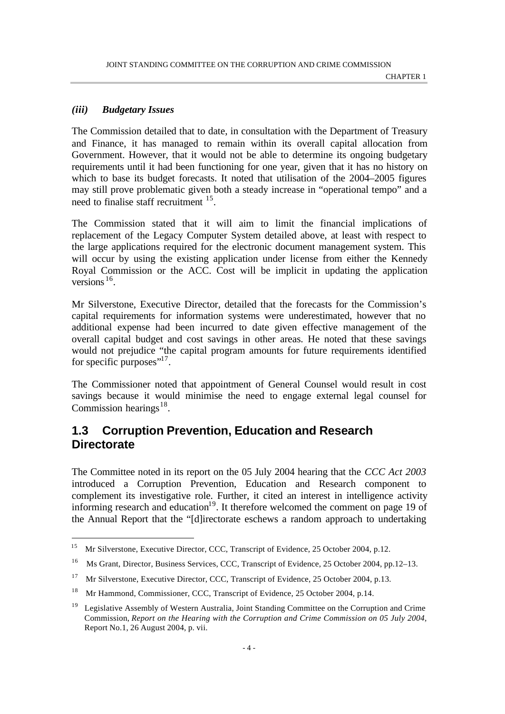#### *(iii) Budgetary Issues*

l

The Commission detailed that to date, in consultation with the Department of Treasury and Finance, it has managed to remain within its overall capital allocation from Government. However, that it would not be able to determine its ongoing budgetary requirements until it had been functioning for one year, given that it has no history on which to base its budget forecasts. It noted that utilisation of the 2004–2005 figures may still prove problematic given both a steady increase in "operational tempo" and a need to finalise staff recruitment <sup>15</sup> .

The Commission stated that it will aim to limit the financial implications of replacement of the Legacy Computer System detailed above, at least with respect to the large applications required for the electronic document management system. This will occur by using the existing application under license from either the Kennedy Royal Commission or the ACC. Cost will be implicit in updating the application versions<sup>16</sup>.

Mr Silverstone, Executive Director, detailed that the forecasts for the Commission's capital requirements for information systems were underestimated, however that no additional expense had been incurred to date given effective management of the overall capital budget and cost savings in other areas. He noted that these savings would not prejudice "the capital program amounts for future requirements identified for specific purposes" $^{17}$ .

The Commissioner noted that appointment of General Counsel would result in cost savings because it would minimise the need to engage external legal counsel for Commission hearings $18$ .

### **1.3 Corruption Prevention, Education and Research Directorate**

The Committee noted in its report on the 05 July 2004 hearing that the *CCC Act 2003* introduced a Corruption Prevention, Education and Research component to complement its investigative role. Further, it cited an interest in intelligence activity informing research and education<sup>19</sup>. It therefore welcomed the comment on page 19 of the Annual Report that the "[d]irectorate eschews a random approach to undertaking

<sup>15</sup> Mr Silverstone, Executive Director, CCC, Transcript of Evidence, 25 October 2004, p.12.

<sup>&</sup>lt;sup>16</sup> Ms Grant, Director, Business Services, CCC, Transcript of Evidence, 25 October 2004, pp.12–13.

<sup>17</sup> Mr Silverstone, Executive Director, CCC, Transcript of Evidence, 25 October 2004, p.13.

<sup>18</sup> Mr Hammond, Commissioner, CCC, Transcript of Evidence, 25 October 2004, p.14.

<sup>&</sup>lt;sup>19</sup> Legislative Assembly of Western Australia, Joint Standing Committee on the Corruption and Crime Commission, *Report on the Hearing with the Corruption and Crime Commission on 05 July 2004,* Report No.1, 26 August 2004, p. vii.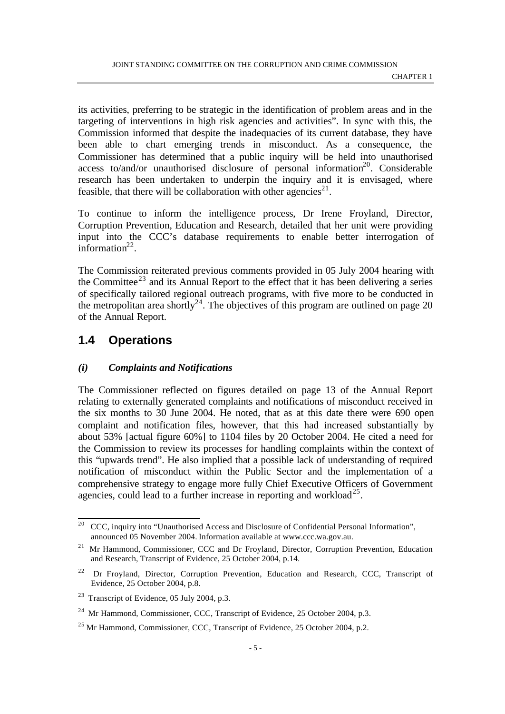its activities, preferring to be strategic in the identification of problem areas and in the targeting of interventions in high risk agencies and activities". In sync with this, the Commission informed that despite the inadequacies of its current database, they have been able to chart emerging trends in misconduct. As a consequence, the Commissioner has determined that a public inquiry will be held into unauthorised access to/and/or unauthorised disclosure of personal information<sup>20</sup>. Considerable research has been undertaken to underpin the inquiry and it is envisaged, where feasible, that there will be collaboration with other agencies<sup>21</sup>.

To continue to inform the intelligence process, Dr Irene Froyland, Director, Corruption Prevention, Education and Research, detailed that her unit were providing input into the CCC's database requirements to enable better interrogation of information $2^2$ .

The Commission reiterated previous comments provided in 05 July 2004 hearing with the Committee<sup>23</sup> and its Annual Report to the effect that it has been delivering a series of specifically tailored regional outreach programs, with five more to be conducted in the metropolitan area shortly<sup>24</sup>. The objectives of this program are outlined on page 20 of the Annual Report.

### **1.4 Operations**

### *(i) Complaints and Notifications*

The Commissioner reflected on figures detailed on page 13 of the Annual Report relating to externally generated complaints and notifications of misconduct received in the six months to 30 June 2004. He noted, that as at this date there were 690 open complaint and notification files, however, that this had increased substantially by about 53% [actual figure 60%] to 1104 files by 20 October 2004. He cited a need for the Commission to review its processes for handling complaints within the context of this "upwards trend". He also implied that a possible lack of understanding of required notification of misconduct within the Public Sector and the implementation of a comprehensive strategy to engage more fully Chief Executive Officers of Government agencies, could lead to a further increase in reporting and workload<sup>25</sup>.

 $20$ <sup>20</sup> CCC, inquiry into "Unauthorised Access and Disclosure of Confidential Personal Information", announced 05 November 2004. Information available at www.ccc.wa.gov.au.

<sup>&</sup>lt;sup>21</sup> Mr Hammond, Commissioner, CCC and Dr Froyland, Director, Corruption Prevention, Education and Research, Transcript of Evidence, 25 October 2004, p.14.

<sup>22</sup> Dr Froyland, Director, Corruption Prevention, Education and Research, CCC, Transcript of Evidence, 25 October 2004, p.8.

<sup>&</sup>lt;sup>23</sup> Transcript of Evidence, 05 July 2004, p.3.

 $^{24}$  Mr Hammond, Commissioner, CCC, Transcript of Evidence, 25 October 2004, p.3.

<sup>&</sup>lt;sup>25</sup> Mr Hammond, Commissioner, CCC, Transcript of Evidence, 25 October 2004, p.2.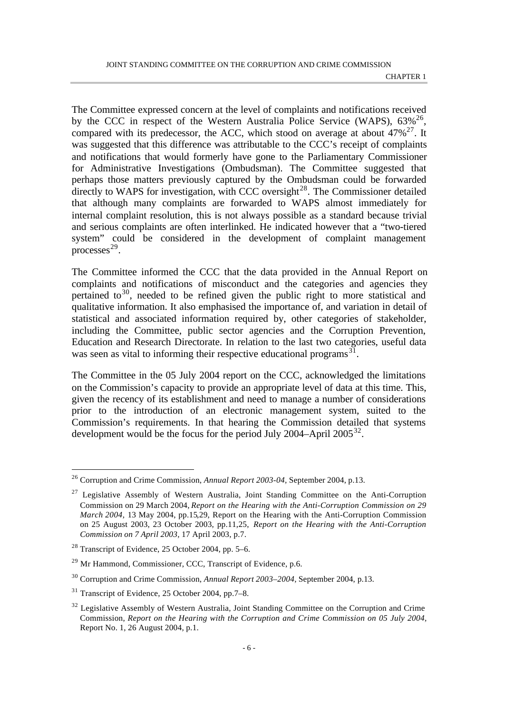The Committee expressed concern at the level of complaints and notifications received by the CCC in respect of the Western Australia Police Service (WAPS),  $63\%^{26}$ , compared with its predecessor, the ACC, which stood on average at about  $47\%^{27}$ . It was suggested that this difference was attributable to the CCC's receipt of complaints and notifications that would formerly have gone to the Parliamentary Commissioner for Administrative Investigations (Ombudsman). The Committee suggested that perhaps those matters previously captured by the Ombudsman could be forwarded directly to WAPS for investigation, with CCC oversight $^{28}$ . The Commissioner detailed that although many complaints are forwarded to WAPS almost immediately for internal complaint resolution, this is not always possible as a standard because trivial and serious complaints are often interlinked. He indicated however that a "two-tiered system" could be considered in the development of complaint management  $processes<sup>29</sup>$ .

The Committee informed the CCC that the data provided in the Annual Report on complaints and notifications of misconduct and the categories and agencies they pertained to<sup>30</sup>, needed to be refined given the public right to more statistical and qualitative information. It also emphasised the importance of, and variation in detail of statistical and associated information required by, other categories of stakeholder, including the Committee, public sector agencies and the Corruption Prevention, Education and Research Directorate. In relation to the last two categories, useful data was seen as vital to informing their respective educational programs $^{31}$ .

The Committee in the 05 July 2004 report on the CCC, acknowledged the limitations on the Commission's capacity to provide an appropriate level of data at this time. This, given the recency of its establishment and need to manage a number of considerations prior to the introduction of an electronic management system, suited to the Commission's requirements. In that hearing the Commission detailed that systems development would be the focus for the period July 2004–April 2005<sup>32</sup>.

<sup>26</sup> Corruption and Crime Commission, *Annual Report 2003-04,* September 2004, p.13.

 $27$  Legislative Assembly of Western Australia, Joint Standing Committee on the Anti-Corruption Commission on 29 March 2004, *Report on the Hearing with the Anti-Corruption Commission on 29 March 2004,* 13 May 2004, pp.15,29, Report on the Hearing with the Anti-Corruption Commission on 25 August 2003, 23 October 2003, pp.11,25, *Report on the Hearing with the Anti-Corruption Commission on 7 April 2003,* 17 April 2003, p.7.

 $28$  Transcript of Evidence, 25 October 2004, pp. 5–6.

<sup>&</sup>lt;sup>29</sup> Mr Hammond, Commissioner, CCC, Transcript of Evidence, p.6.

<sup>30</sup> Corruption and Crime Commission, *Annual Report 2003–2004,* September 2004, p.13.

<sup>31</sup> Transcript of Evidence, 25 October 2004, pp.7–8.

<sup>&</sup>lt;sup>32</sup> Legislative Assembly of Western Australia, Joint Standing Committee on the Corruption and Crime Commission, *Report on the Hearing with the Corruption and Crime Commission on 05 July 2004,* Report No. 1, 26 August 2004, p.1.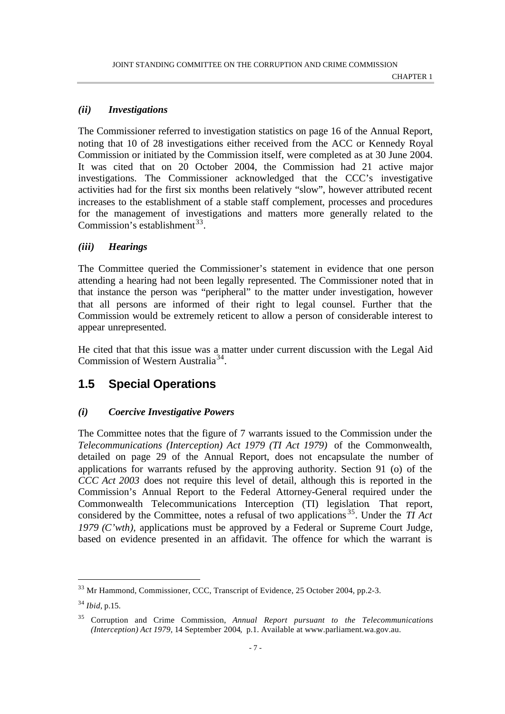### *(ii) Investigations*

The Commissioner referred to investigation statistics on page 16 of the Annual Report, noting that 10 of 28 investigations either received from the ACC or Kennedy Royal Commission or initiated by the Commission itself, were completed as at 30 June 2004. It was cited that on 20 October 2004, the Commission had 21 active major investigations. The Commissioner acknowledged that the CCC's investigative activities had for the first six months been relatively "slow", however attributed recent increases to the establishment of a stable staff complement, processes and procedures for the management of investigations and matters more generally related to the Commission's establishment<sup>33</sup>.

### *(iii) Hearings*

The Committee queried the Commissioner's statement in evidence that one person attending a hearing had not been legally represented. The Commissioner noted that in that instance the person was "peripheral" to the matter under investigation, however that all persons are informed of their right to legal counsel. Further that the Commission would be extremely reticent to allow a person of considerable interest to appear unrepresented.

He cited that that this issue was a matter under current discussion with the Legal Aid Commission of Western Australia<sup>34</sup>.

### **1.5 Special Operations**

### *(i) Coercive Investigative Powers*

The Committee notes that the figure of 7 warrants issued to the Commission under the *Telecommunications (Interception) Act 1979 (TI Act 1979)* of the Commonwealth, detailed on page 29 of the Annual Report, does not encapsulate the number of applications for warrants refused by the approving authority. Section 91 (o) of the *CCC Act 2003* does not require this level of detail, although this is reported in the Commission's Annual Report to the Federal Attorney-General required under the Commonwealth Telecommunications Interception (TI) legislation*.* That report, considered by the Committee, notes a refusal of two applications <sup>35</sup>. Under the *TI Act 1979 (C'wth),* applications must be approved by a Federal or Supreme Court Judge, based on evidence presented in an affidavit. The offence for which the warrant is

<sup>33</sup> Mr Hammond, Commissioner, CCC, Transcript of Evidence, 25 October 2004, pp.2-3.

<sup>34</sup> *Ibid*, p.15.

<sup>35</sup> Corruption and Crime Commission, *Annual Report pursuant to the Telecommunications (Interception) Act 1979,* 14 September 2004, p.1. Available at www.parliament.wa.gov.au.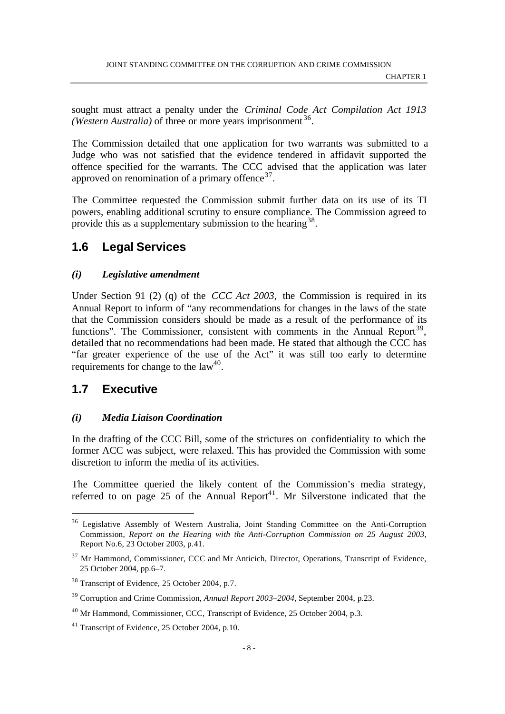sought must attract a penalty under the *Criminal Code Act Compilation Act 1913* (Western Australia) of three or more years imprisonment<sup>36</sup>.

The Commission detailed that one application for two warrants was submitted to a Judge who was not satisfied that the evidence tendered in affidavit supported the offence specified for the warrants. The CCC advised that the application was later approved on renomination of a primary offence  $37$ .

The Committee requested the Commission submit further data on its use of its TI powers, enabling additional scrutiny to ensure compliance. The Commission agreed to provide this as a supplementary submission to the hearing  $38$ .

### **1.6 Legal Services**

#### *(i) Legislative amendment*

Under Section 91 (2) (q) of the *CCC Act 2003,* the Commission is required in its Annual Report to inform of "any recommendations for changes in the laws of the state that the Commission considers should be made as a result of the performance of its functions". The Commissioner, consistent with comments in the Annual Report<sup>39</sup>, detailed that no recommendations had been made. He stated that although the CCC has "far greater experience of the use of the Act" it was still too early to determine requirements for change to the  $law<sup>40</sup>$ .

### **1.7 Executive**

l

#### *(i) Media Liaison Coordination*

In the drafting of the CCC Bill, some of the strictures on confidentiality to which the former ACC was subject, were relaxed. This has provided the Commission with some discretion to inform the media of its activities.

The Committee queried the likely content of the Commission's media strategy, referred to on page 25 of the Annual Report<sup>41</sup>. Mr Silverstone indicated that the

<sup>&</sup>lt;sup>36</sup> Legislative Assembly of Western Australia, Joint Standing Committee on the Anti-Corruption Commission, *Report on the Hearing with the Anti-Corruption Commission on 25 August 2003*, Report No.6, 23 October 2003, p.41.

<sup>&</sup>lt;sup>37</sup> Mr Hammond, Commissioner, CCC and Mr Anticich, Director, Operations, Transcript of Evidence, 25 October 2004, pp.6–7.

<sup>38</sup> Transcript of Evidence, 25 October 2004, p.7.

<sup>39</sup> Corruption and Crime Commission, *Annual Report 2003–2004,* September 2004, p.23.

<sup>&</sup>lt;sup>40</sup> Mr Hammond, Commissioner, CCC, Transcript of Evidence, 25 October 2004, p.3.

<sup>41</sup> Transcript of Evidence, 25 October 2004, p.10.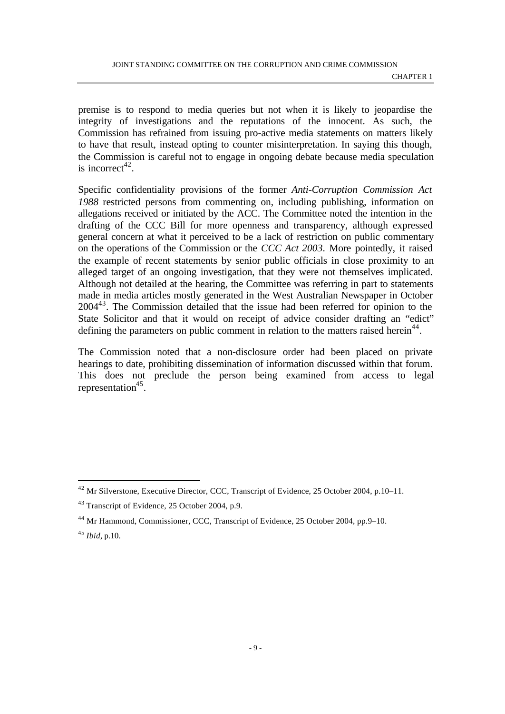premise is to respond to media queries but not when it is likely to jeopardise the integrity of investigations and the reputations of the innocent. As such, the Commission has refrained from issuing pro-active media statements on matters likely to have that result, instead opting to counter misinterpretation. In saying this though, the Commission is careful not to engage in ongoing debate because media speculation is incorrect<sup>42</sup>.

Specific confidentiality provisions of the former *Anti-Corruption Commission Act 1988* restricted persons from commenting on, including publishing, information on allegations received or initiated by the ACC. The Committee noted the intention in the drafting of the CCC Bill for more openness and transparency, although expressed general concern at what it perceived to be a lack of restriction on public commentary on the operations of the Commission or the *CCC Act 2003*. More pointedly, it raised the example of recent statements by senior public officials in close proximity to an alleged target of an ongoing investigation, that they were not themselves implicated. Although not detailed at the hearing, the Committee was referring in part to statements made in media articles mostly generated in the West Australian Newspaper in October 2004<sup>43</sup>. The Commission detailed that the issue had been referred for opinion to the State Solicitor and that it would on receipt of advice consider drafting an "edict" defining the parameters on public comment in relation to the matters raised herein<sup>44</sup>.

The Commission noted that a non-disclosure order had been placed on private hearings to date, prohibiting dissemination of information discussed within that forum. This does not preclude the person being examined from access to legal representation<sup>45</sup>.

<sup>42</sup> Mr Silverstone, Executive Director, CCC, Transcript of Evidence, 25 October 2004, p.10–11.

<sup>43</sup> Transcript of Evidence, 25 October 2004, p.9.

<sup>44</sup> Mr Hammond, Commissioner, CCC, Transcript of Evidence, 25 October 2004, pp.9–10.

<sup>45</sup> *Ibid*, p.10.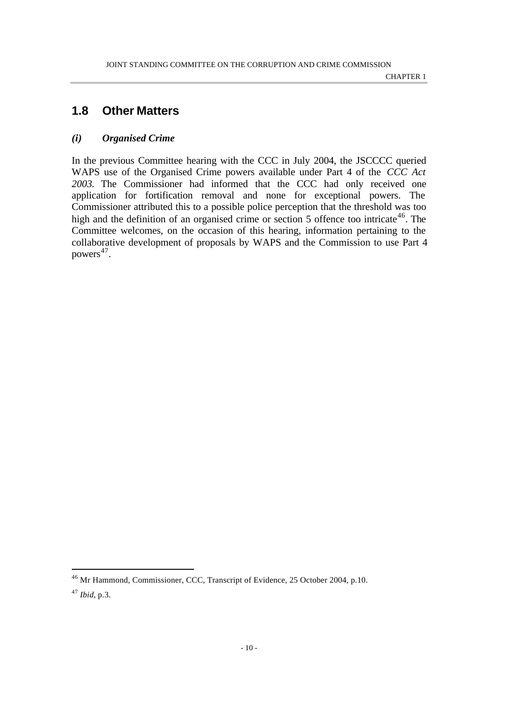### **1.8 Other Matters**

#### *(i) Organised Crime*

In the previous Committee hearing with the CCC in July 2004, the JSCCCC queried WAPS use of the Organised Crime powers available under Part 4 of the *CCC Act 2003.* The Commissioner had informed that the CCC had only received one application for fortification removal and none for exceptional powers. The Commissioner attributed this to a possible police perception that the threshold was too high and the definition of an organised crime or section 5 offence too intricate<sup>46</sup>. The Committee welcomes, on the occasion of this hearing, information pertaining to the collaborative development of proposals by WAPS and the Commission to use Part 4 powers<sup>47</sup>.

<sup>46</sup> Mr Hammond, Commissioner, CCC, Transcript of Evidence, 25 October 2004, p.10.

<sup>47</sup> *Ibid,* p.3.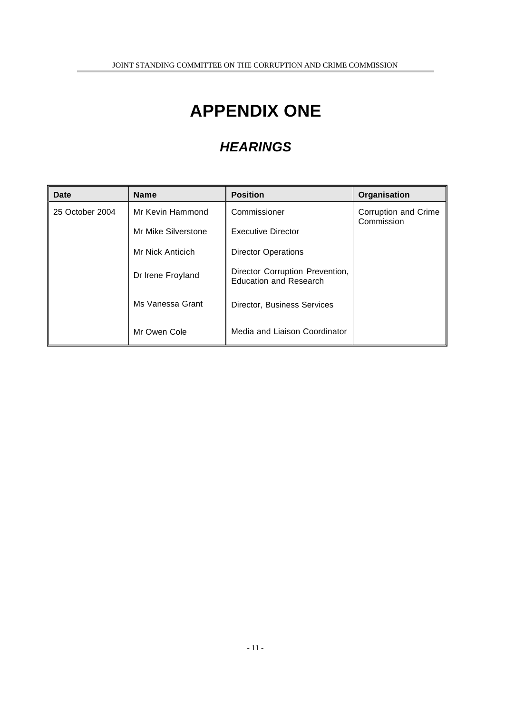## **APPENDIX ONE**

### *HEARINGS*

| Date            | <b>Name</b>         | <b>Position</b>                                                  | Organisation                       |
|-----------------|---------------------|------------------------------------------------------------------|------------------------------------|
| 25 October 2004 | Mr Kevin Hammond    | Commissioner                                                     | Corruption and Crime<br>Commission |
|                 | Mr Mike Silverstone | <b>Executive Director</b>                                        |                                    |
|                 | Mr Nick Anticich    | <b>Director Operations</b>                                       |                                    |
|                 | Dr Irene Froyland   | Director Corruption Prevention,<br><b>Education and Research</b> |                                    |
|                 | Ms Vanessa Grant    | Director, Business Services                                      |                                    |
|                 | Mr Owen Cole        | Media and Liaison Coordinator                                    |                                    |